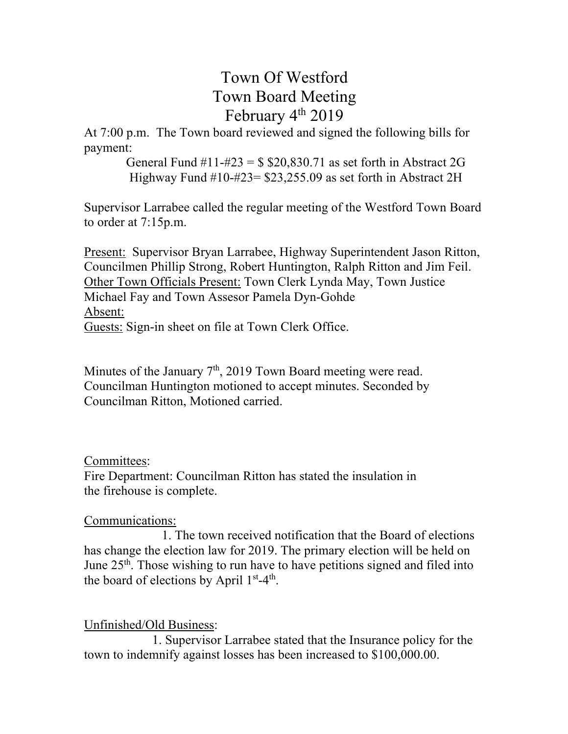# Town Of Westford Town Board Meeting February 4<sup>th</sup> 2019

At 7:00 p.m. The Town board reviewed and signed the following bills for payment:

> General Fund  $\#11 - \#23 = $20,830.71$  as set forth in Abstract 2G Highway Fund #10-#23= \$23,255.09 as set forth in Abstract 2H

Supervisor Larrabee called the regular meeting of the Westford Town Board to order at 7:15p.m.

Present: Supervisor Bryan Larrabee, Highway Superintendent Jason Ritton, Councilmen Phillip Strong, Robert Huntington, Ralph Ritton and Jim Feil. Other Town Officials Present: Town Clerk Lynda May, Town Justice Michael Fay and Town Assesor Pamela Dyn-Gohde Absent: Guests: Sign-in sheet on file at Town Clerk Office.

Minutes of the January  $7<sup>th</sup>$ , 2019 Town Board meeting were read. Councilman Huntington motioned to accept minutes. Seconded by Councilman Ritton, Motioned carried.

## Committees:

Fire Department: Councilman Ritton has stated the insulation in the firehouse is complete.

# Communications:

 1. The town received notification that the Board of elections has change the election law for 2019. The primary election will be held on June  $25<sup>th</sup>$ . Those wishing to run have to have petitions signed and filed into the board of elections by April  $1<sup>st</sup>-4<sup>th</sup>$ .

# Unfinished/Old Business:

1. Supervisor Larrabee stated that the Insurance policy for the town to indemnify against losses has been increased to \$100,000.00.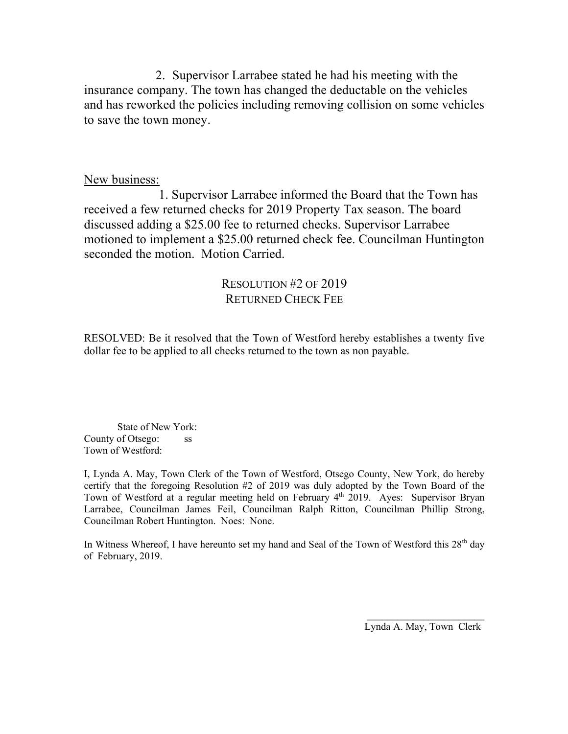2. Supervisor Larrabee stated he had his meeting with the insurance company. The town has changed the deductable on the vehicles and has reworked the policies including removing collision on some vehicles to save the town money.

### New business:

 1. Supervisor Larrabee informed the Board that the Town has received a few returned checks for 2019 Property Tax season. The board discussed adding a \$25.00 fee to returned checks. Supervisor Larrabee motioned to implement a \$25.00 returned check fee. Councilman Huntington seconded the motion. Motion Carried.

## RESOLUTION #2 OF 2019 RETURNED CHECK FEE

RESOLVED: Be it resolved that the Town of Westford hereby establishes a twenty five dollar fee to be applied to all checks returned to the town as non payable.

State of New York: County of Otsego: ss Town of Westford:

I, Lynda A. May, Town Clerk of the Town of Westford, Otsego County, New York, do hereby certify that the foregoing Resolution #2 of 2019 was duly adopted by the Town Board of the Town of Westford at a regular meeting held on February 4<sup>th</sup> 2019. Ayes: Supervisor Bryan Larrabee, Councilman James Feil, Councilman Ralph Ritton, Councilman Phillip Strong, Councilman Robert Huntington. Noes: None.

In Witness Whereof, I have hereunto set my hand and Seal of the Town of Westford this  $28<sup>th</sup>$  day of February, 2019.

 $\mathcal{L}_\text{max}$  and  $\mathcal{L}_\text{max}$  and  $\mathcal{L}_\text{max}$  and  $\mathcal{L}_\text{max}$  and  $\mathcal{L}_\text{max}$ 

Lynda A. May, Town Clerk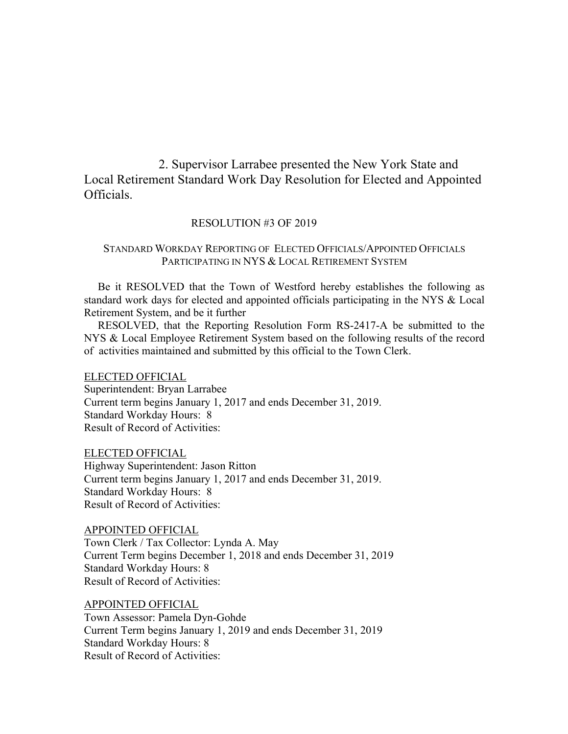2. Supervisor Larrabee presented the New York State and Local Retirement Standard Work Day Resolution for Elected and Appointed Officials.

#### RESOLUTION #3 OF 2019

#### STANDARD WORKDAY REPORTING OF ELECTED OFFICIALS/APPOINTED OFFICIALS PARTICIPATING IN NYS & LOCAL RETIREMENT SYSTEM

 Be it RESOLVED that the Town of Westford hereby establishes the following as standard work days for elected and appointed officials participating in the NYS & Local Retirement System, and be it further

 RESOLVED, that the Reporting Resolution Form RS-2417-A be submitted to the NYS & Local Employee Retirement System based on the following results of the record of activities maintained and submitted by this official to the Town Clerk.

ELECTED OFFICIAL

Superintendent: Bryan Larrabee Current term begins January 1, 2017 and ends December 31, 2019. Standard Workday Hours: 8 Result of Record of Activities:

ELECTED OFFICIAL Highway Superintendent: Jason Ritton Current term begins January 1, 2017 and ends December 31, 2019. Standard Workday Hours: 8 Result of Record of Activities:

APPOINTED OFFICIAL Town Clerk / Tax Collector: Lynda A. May Current Term begins December 1, 2018 and ends December 31, 2019 Standard Workday Hours: 8 Result of Record of Activities:

APPOINTED OFFICIAL Town Assessor: Pamela Dyn-Gohde

Current Term begins January 1, 2019 and ends December 31, 2019 Standard Workday Hours: 8 Result of Record of Activities: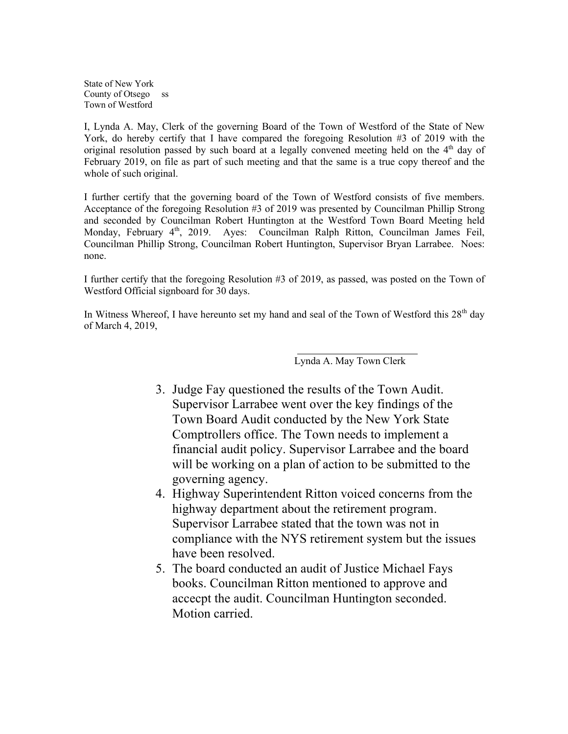State of New York County of Otsego ss Town of Westford

I, Lynda A. May, Clerk of the governing Board of the Town of Westford of the State of New York, do hereby certify that I have compared the foregoing Resolution #3 of 2019 with the original resolution passed by such board at a legally convened meeting held on the  $4<sup>th</sup>$  day of February 2019, on file as part of such meeting and that the same is a true copy thereof and the whole of such original.

I further certify that the governing board of the Town of Westford consists of five members. Acceptance of the foregoing Resolution #3 of 2019 was presented by Councilman Phillip Strong and seconded by Councilman Robert Huntington at the Westford Town Board Meeting held Monday, February 4<sup>th</sup>, 2019. Ayes: Councilman Ralph Ritton, Councilman James Feil, Councilman Phillip Strong, Councilman Robert Huntington, Supervisor Bryan Larrabee. Noes: none.

I further certify that the foregoing Resolution #3 of 2019, as passed, was posted on the Town of Westford Official signboard for 30 days.

In Witness Whereof, I have hereunto set my hand and seal of the Town of Westford this 28<sup>th</sup> day of March 4, 2019,

Lynda A. May Town Clerk

- 3. Judge Fay questioned the results of the Town Audit. Supervisor Larrabee went over the key findings of the Town Board Audit conducted by the New York State Comptrollers office. The Town needs to implement a financial audit policy. Supervisor Larrabee and the board will be working on a plan of action to be submitted to the governing agency.
- 4. Highway Superintendent Ritton voiced concerns from the highway department about the retirement program. Supervisor Larrabee stated that the town was not in compliance with the NYS retirement system but the issues have been resolved.
- 5. The board conducted an audit of Justice Michael Fays books. Councilman Ritton mentioned to approve and accecpt the audit. Councilman Huntington seconded. Motion carried.